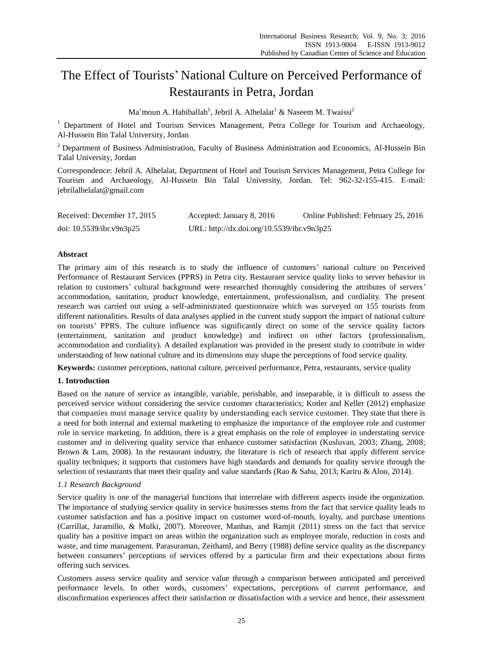# The Effect of Tourists' National Culture on Perceived Performance of Restaurants in Petra, Jordan

Ma'moun A. Habiballah<sup>1</sup>, Jebril A. Alhelalat<sup>1</sup> & Naseem M. Twaissi<sup>2</sup>

<sup>1</sup> Department of Hotel and Tourism Services Management, Petra College for Tourism and Archaeology, Al-Hussein Bin Talal University, Jordan

<sup>2</sup> Department of Business Administration, Faculty of Business Administration and Economics, Al-Hussein Bin Talal University, Jordan

Correspondence: Jebril A. Alhelalat, Department of Hotel and Tourism Services Management, Petra College for Tourism and Archaeology, Al-Hussein Bin Talal University, Jordan. Tel: 962-32-155-415. E-mail: jebrilalhelalat@gmail.com

| Received: December 17, 2015 | Accepted: January 8, 2016                  | Online Published: February 25, 2016 |
|-----------------------------|--------------------------------------------|-------------------------------------|
| doi: $10.5539$ /ibr.v9n3p25 | URL: http://dx.doi.org/10.5539/ibr.v9n3p25 |                                     |

## **Abstract**

The primary aim of this research is to study the influence of customers' national culture on Perceived Performance of Restaurant Services (PPRS) in Petra city. Restaurant service quality links to server behavior in relation to customers' cultural background were researched thoroughly considering the attributes of servers' accommodation, sanitation, product knowledge, entertainment, professionalism, and cordiality. The present research was carried out using a self-administrated questionnaire which was surveyed on 155 tourists from different nationalities. Results of data analyses applied in the current study support the impact of national culture on tourists' PPRS. The culture influence was significantly direct on some of the service quality factors (entertainment, sanitation and product knowledge) and indirect on other factors (professionalism, accommodation and cordiality). A detailed explanation was provided in the present study to contribute in wider understanding of how national culture and its dimensions may shape the perceptions of food service quality.

**Keywords:** customer perceptions, national culture, perceived performance, Petra, restaurants, service quality

## **1. Introduction**

Based on the nature of service as intangible, variable, perishable, and inseparable, it is difficult to assess the perceived service without considering the service customer characteristics; Kotler and Keller (2012) emphasize that companies must manage service quality by understanding each service customer. They state that there is a need for both internal and external marketing to emphasize the importance of the employee role and customer role in service marketing. In addition, there is a great emphasis on the role of employee in understating service customer and in delivering quality service that enhance customer satisfaction (Kusluvan, 2003; Zhang, 2008; Brown & Lam, 2008). In the restaurant industry, the literature is rich of research that apply different service quality techniques; it supports that customers have high standards and demands for quality service through the selection of restaurants that meet their quality and value standards (Rao & Sahu, 2013; Kariru & Aloo, 2014).

## *1.1 Research Background*

Service quality is one of the managerial functions that interrelate with different aspects inside the organization. The importance of studying service quality in service businesses stems from the fact that service quality leads to customer satisfaction and has a positive impact on customer word-of-mouth, loyalty, and purchase intentions (Carrillat, Jaramillo, & Mulki, 2007). Moreover, Manhas, and Ramjit (2011) stress on the fact that service quality has a positive impact on areas within the organization such as employee morale, reduction in costs and waste, and time management. Parasuraman, Zeithaml, and Berry (1988) define service quality as the discrepancy between consumers' perceptions of services offered by a particular firm and their expectations about firms offering such services.

Customers assess service quality and service value through a comparison between anticipated and perceived performance levels. In other words, customers' expectations, perceptions of current performance, and disconfirmation experiences affect their satisfaction or dissatisfaction with a service and hence, their assessment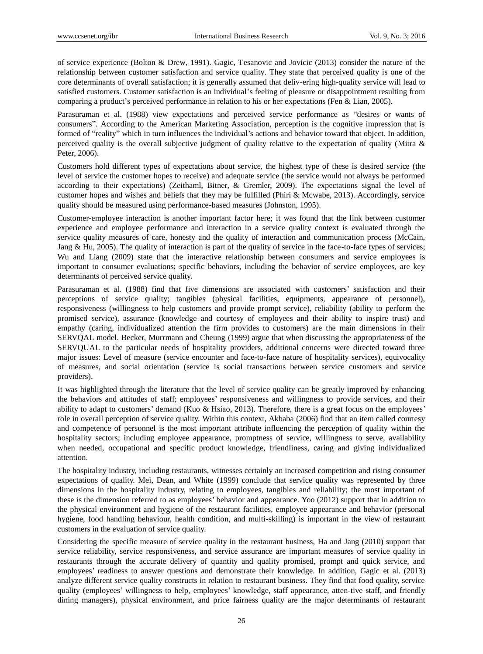of service experience (Bolton & Drew, 1991). Gagic, Tesanovic and Jovicic (2013) consider the nature of the relationship between customer satisfaction and service quality. They state that perceived quality is one of the core determinants of overall satisfaction; it is generally assumed that deliv-ering high-quality service will lead to satisfied customers. Customer satisfaction is an individual's feeling of pleasure or disappointment resulting from comparing a product's perceived performance in relation to his or her expectations (Fen & Lian, 2005).

Parasuraman et al. (1988) view expectations and perceived service performance as "desires or wants of consumers". According to the American Marketing Association, perception is the cognitive impression that is formed of "reality" which in turn influences the individual's actions and behavior toward that object. In addition, perceived quality is the overall subjective judgment of quality relative to the expectation of quality (Mitra & Peter, 2006).

Customers hold different types of expectations about service, the highest type of these is desired service (the level of service the customer hopes to receive) and adequate service (the service would not always be performed according to their expectations) (Zeithaml, Bitner, & Gremler, 2009). The expectations signal the level of customer hopes and wishes and beliefs that they may be fulfilled (Phiri & Mcwabe, 2013). Accordingly, service quality should be measured using performance-based measures (Johnston, 1995).

Customer-employee interaction is another important factor here; it was found that the link between customer experience and employee performance and interaction in a service quality context is evaluated through the service quality measures of care, honesty and the quality of interaction and communication process (McCain, Jang & Hu, 2005). The quality of interaction is part of the quality of service in the face-to-face types of services; Wu and Liang (2009) state that the interactive relationship between consumers and service employees is important to consumer evaluations; specific behaviors, including the behavior of service employees, are key determinants of perceived service quality.

Parasuraman et al. (1988) find that five dimensions are associated with customers' satisfaction and their perceptions of service quality; tangibles (physical facilities, equipments, appearance of personnel), responsiveness (willingness to help customers and provide prompt service), reliability (ability to perform the promised service), assurance (knowledge and courtesy of employees and their ability to inspire trust) and empathy (caring, individualized attention the firm provides to customers) are the main dimensions in their SERVQAL model. Becker, Murrmann and Cheung (1999) argue that when discussing the appropriateness of the SERVQUAL to the particular needs of hospitality providers, additional concerns were directed toward three major issues: Level of measure (service encounter and face-to-face nature of hospitality services), equivocality of measures, and social orientation (service is social transactions between service customers and service providers).

It was highlighted through the literature that the level of service quality can be greatly improved by enhancing the behaviors and attitudes of staff; employees' responsiveness and willingness to provide services, and their ability to adapt to customers' demand (Kuo & Hsiao, 2013). Therefore, there is a great focus on the employees' role in overall perception of service quality. Within this context, Akbaba (2006) find that an item called courtesy and competence of personnel is the most important attribute influencing the perception of quality within the hospitality sectors; including employee appearance, promptness of service, willingness to serve, availability when needed, occupational and specific product knowledge, friendliness, caring and giving individualized attention.

The hospitality industry, including restaurants, witnesses certainly an increased competition and rising consumer expectations of quality. Mei, Dean, and White (1999) conclude that service quality was represented by three dimensions in the hospitality industry, relating to employees, tangibles and reliability; the most important of these is the dimension referred to as employees' behavior and appearance. Yoo (2012) support that in addition to the physical environment and hygiene of the restaurant facilities, employee appearance and behavior (personal hygiene, food handling behaviour, health condition, and multi-skilling) is important in the view of restaurant customers in the evaluation of service quality.

Considering the specific measure of service quality in the restaurant business, Ha and Jang (2010) support that service reliability, service responsiveness, and service assurance are important measures of service quality in restaurants through the accurate delivery of quantity and quality promised, prompt and quick service, and employees' readiness to answer questions and demonstrate their knowledge. In addition, Gagic et al. (2013) analyze different service quality constructs in relation to restaurant business. They find that food quality, service quality (employees' willingness to help, employees' knowledge, staff appearance, atten-tive staff, and friendly dining managers), physical environment, and price fairness quality are the major determinants of restaurant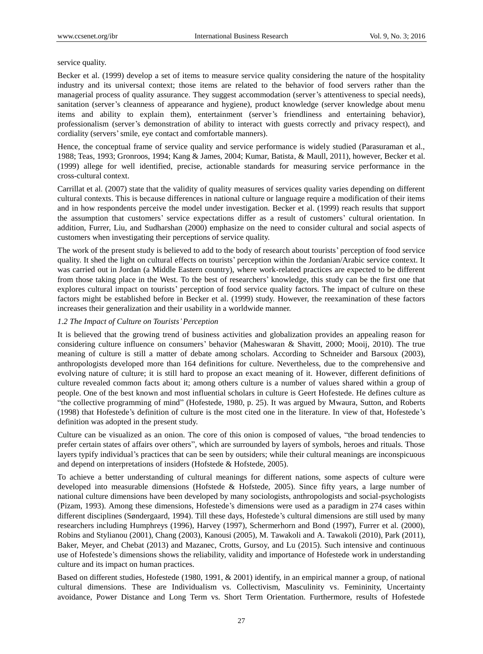#### service quality.

Becker et al. (1999) develop a set of items to measure service quality considering the nature of the hospitality industry and its universal context; those items are related to the behavior of food servers rather than the managerial process of quality assurance. They suggest accommodation (server's attentiveness to special needs), sanitation (server's cleanness of appearance and hygiene), product knowledge (server knowledge about menu items and ability to explain them), entertainment (server's friendliness and entertaining behavior), professionalism (server's demonstration of ability to interact with guests correctly and privacy respect), and cordiality (servers'smile, eye contact and comfortable manners).

Hence, the conceptual frame of service quality and service performance is widely studied (Parasuraman et al., 1988; Teas, 1993; Gronroos, 1994; Kang & James, 2004; Kumar, Batista, & Maull, 2011), however, Becker et al. (1999) allege for well identified, precise, actionable standards for measuring service performance in the cross-cultural context.

Carrillat et al. (2007) state that the validity of quality measures of services quality varies depending on different cultural contexts. This is because differences in national culture or language require a modification of their items and in how respondents perceive the model under investigation. Becker et al. (1999) reach results that support the assumption that customers' service expectations differ as a result of customers' cultural orientation. In addition, Furrer, Liu, and Sudharshan (2000) emphasize on the need to consider cultural and social aspects of customers when investigating their perceptions of service quality.

The work of the present study is believed to add to the body of research about tourists' perception of food service quality. It shed the light on cultural effects on tourists' perception within the Jordanian/Arabic service context. It was carried out in Jordan (a Middle Eastern country), where work-related practices are expected to be different from those taking place in the West. To the best of researchers' knowledge, this study can be the first one that explores cultural impact on tourists' perception of food service quality factors. The impact of culture on these factors might be established before in Becker et al. (1999) study. However, the reexamination of these factors increases their generalization and their usability in a worldwide manner.

#### *1.2 The Impact of Culture on Tourists'Perception*

It is believed that the growing trend of business activities and globalization provides an appealing reason for considering culture influence on consumers' behavior (Maheswaran & Shavitt, 2000; Mooij, 2010). The true meaning of culture is still a matter of debate among scholars. According to Schneider and Barsoux (2003), anthropologists developed more than 164 definitions for culture. Nevertheless, due to the comprehensive and evolving nature of culture; it is still hard to propose an exact meaning of it. However, different definitions of culture revealed common facts about it; among others culture is a number of values shared within a group of people. One of the best known and most influential scholars in culture is Geert Hofestede. He defines culture as "the collective programming of mind" (Hofestede, 1980, p. 25). It was argued by Mwaura, Sutton, and Roberts (1998) that Hofestede's definition of culture is the most cited one in the literature. In view of that, Hofestede's definition was adopted in the present study.

Culture can be visualized as an onion. The core of this onion is composed of values, "the broad tendencies to prefer certain states of affairs over others", which are surrounded by layers of symbols, heroes and rituals. Those layers typify individual's practices that can be seen by outsiders; while their cultural meanings are inconspicuous and depend on interpretations of insiders (Hofstede & Hofstede, 2005).

To achieve a better understanding of cultural meanings for different nations, some aspects of culture were developed into measurable dimensions (Hofstede & Hofstede, 2005). Since fifty years, a large number of national culture dimensions have been developed by many sociologists, anthropologists and social-psychologists (Pizam, 1993). Among these dimensions, Hofestede's dimensions were used as a paradigm in 274 cases within different disciplines (Søndergaard, 1994). Till these days, Hofestede's cultural dimensions are still used by many researchers including Humphreys (1996), Harvey (1997), Schermerhorn and Bond (1997), Furrer et al. (2000), Robins and Stylianou (2001), Chang (2003), Kanousi (2005), M. Tawakoli and A. Tawakoli (2010), Park (2011), Baker, Meyer, and Chebat (2013) and Mazanec, Crotts, Gursoy, and Lu (2015). Such intensive and continuous use of Hofestede's dimensions shows the reliability, validity and importance of Hofestede work in understanding culture and its impact on human practices.

Based on different studies, Hofestede (1980, 1991, & 2001) identify, in an empirical manner a group, of national cultural dimensions. These are Individualism vs. Collectivism, Masculinity vs. Femininity, Uncertainty avoidance, Power Distance and Long Term vs. Short Term Orientation. Furthermore, results of Hofestede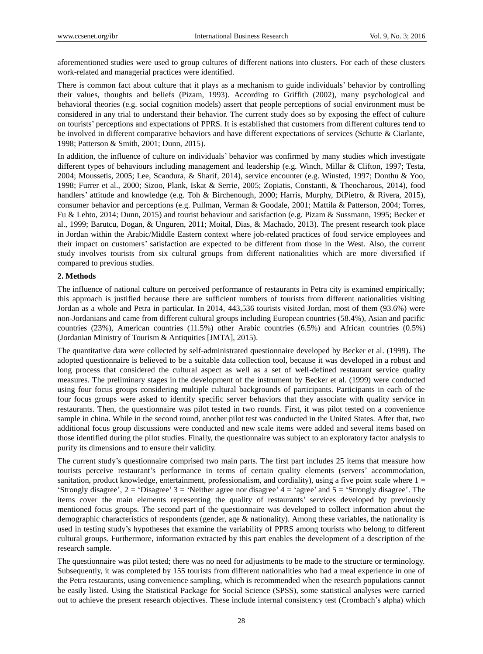aforementioned studies were used to group cultures of different nations into clusters. For each of these clusters work-related and managerial practices were identified.

There is common fact about culture that it plays as a mechanism to guide individuals' behavior by controlling their values, thoughts and beliefs (Pizam, 1993). According to Griffith (2002), many psychological and behavioral theories (e.g. social cognition models) assert that people perceptions of social environment must be considered in any trial to understand their behavior. The current study does so by exposing the effect of culture on tourists' perceptions and expectations of PPRS. It is established that customers from different cultures tend to be involved in different comparative behaviors and have different expectations of services (Schutte & Ciarlante, 1998; Patterson & Smith, 2001; Dunn, 2015).

In addition, the influence of culture on individuals' behavior was confirmed by many studies which investigate different types of behaviours including management and leadership (e.g. Winch, Millar & Clifton, 1997; Testa, 2004; Moussetis, 2005; Lee, Scandura, & Sharif, 2014), service encounter (e.g. Winsted, 1997; Donthu & Yoo, 1998; Furrer et al., 2000; Sizoo, Plank, Iskat & Serrie, 2005; Zopiatis, Constanti, & Theocharous, 2014), food handlers' attitude and knowledge (e.g. Toh & Birchenough, 2000; Harris, Murphy, DiPietro, & Rivera, 2015), consumer behavior and perceptions (e.g. Pullman, Verman & Goodale, 2001; Mattila & Patterson, 2004; Torres, Fu & Lehto, 2014; Dunn, 2015) and tourist behaviour and satisfaction (e.g. Pizam & Sussmann, 1995; Becker et al., 1999; Barutcu, Dogan, & Unguren, 2011; Moital, Dias, & Machado, 2013). The present research took place in Jordan within the Arabic/Middle Eastern context where job-related practices of food service employees and their impact on customers' satisfaction are expected to be different from those in the West. Also, the current study involves tourists from six cultural groups from different nationalities which are more diversified if compared to previous studies.

#### **2. Methods**

The influence of national culture on perceived performance of restaurants in Petra city is examined empirically; this approach is justified because there are sufficient numbers of tourists from different nationalities visiting Jordan as a whole and Petra in particular. In 2014, 443,536 tourists visited Jordan, most of them (93.6%) were non-Jordanians and came from different cultural groups including European countries (58.4%), Asian and pacific countries (23%), American countries (11.5%) other Arabic countries (6.5%) and African countries (0.5%) (Jordanian Ministry of Tourism & Antiquities [JMTA], 2015).

The quantitative data were collected by self-administrated questionnaire developed by Becker et al. (1999). The adopted questionnaire is believed to be a suitable data collection tool, because it was developed in a robust and long process that considered the cultural aspect as well as a set of well-defined restaurant service quality measures. The preliminary stages in the development of the instrument by Becker et al. (1999) were conducted using four focus groups considering multiple cultural backgrounds of participants. Participants in each of the four focus groups were asked to identify specific server behaviors that they associate with quality service in restaurants. Then, the questionnaire was pilot tested in two rounds. First, it was pilot tested on a convenience sample in china. While in the second round, another pilot test was conducted in the United States. After that, two additional focus group discussions were conducted and new scale items were added and several items based on those identified during the pilot studies. Finally, the questionnaire was subject to an exploratory factor analysis to purify its dimensions and to ensure their validity.

The current study's questionnaire comprised two main parts. The first part includes 25 items that measure how tourists perceive restaurant's performance in terms of certain quality elements (servers' accommodation, sanitation, product knowledge, entertainment, professionalism, and cordiality), using a five point scale where  $1 =$ 'Strongly disagree', 2 = 'Disagree' 3 = 'Neither agree nor disagree' 4 = 'agree' and 5 = 'Strongly disagree'. The items cover the main elements representing the quality of restaurants' services developed by previously mentioned focus groups. The second part of the questionnaire was developed to collect information about the demographic characteristics of respondents (gender, age & nationality). Among these variables, the nationality is used in testing study's hypotheses that examine the variability of PPRS among tourists who belong to different cultural groups. Furthermore, information extracted by this part enables the development of a description of the research sample.

The questionnaire was pilot tested; there was no need for adjustments to be made to the structure or terminology. Subsequently, it was completed by 155 tourists from different nationalities who had a meal experience in one of the Petra restaurants, using convenience sampling, which is recommended when the research populations cannot be easily listed. Using the Statistical Package for Social Science (SPSS), some statistical analyses were carried out to achieve the present research objectives. These include internal consistency test (Crombach's alpha) which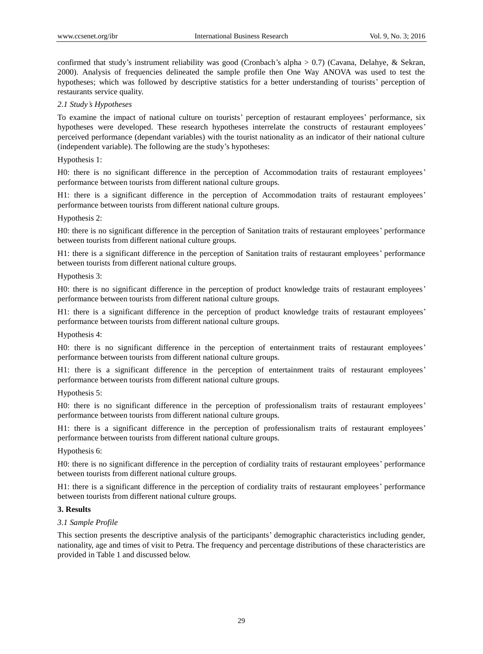confirmed that study's instrument reliability was good (Cronbach's alpha > 0.7) (Cavana, Delahye, & Sekran, 2000). Analysis of frequencies delineated the sample profile then One Way ANOVA was used to test the hypotheses; which was followed by descriptive statistics for a better understanding of tourists' perception of restaurants service quality.

## *2.1 Study's Hypotheses*

To examine the impact of national culture on tourists' perception of restaurant employees' performance, six hypotheses were developed. These research hypotheses interrelate the constructs of restaurant employees' perceived performance (dependant variables) with the tourist nationality as an indicator of their national culture (independent variable). The following are the study's hypotheses:

Hypothesis 1:

H0: there is no significant difference in the perception of Accommodation traits of restaurant employees' performance between tourists from different national culture groups.

H1: there is a significant difference in the perception of Accommodation traits of restaurant employees' performance between tourists from different national culture groups.

### Hypothesis 2:

H0: there is no significant difference in the perception of Sanitation traits of restaurant employees' performance between tourists from different national culture groups.

H1: there is a significant difference in the perception of Sanitation traits of restaurant employees' performance between tourists from different national culture groups.

### Hypothesis 3:

H0: there is no significant difference in the perception of product knowledge traits of restaurant employees' performance between tourists from different national culture groups.

H1: there is a significant difference in the perception of product knowledge traits of restaurant employees' performance between tourists from different national culture groups.

Hypothesis 4:

H0: there is no significant difference in the perception of entertainment traits of restaurant employees' performance between tourists from different national culture groups.

H1: there is a significant difference in the perception of entertainment traits of restaurant employees' performance between tourists from different national culture groups.

## Hypothesis 5:

H0: there is no significant difference in the perception of professionalism traits of restaurant employees' performance between tourists from different national culture groups.

H1: there is a significant difference in the perception of professionalism traits of restaurant employees' performance between tourists from different national culture groups.

Hypothesis 6:

H0: there is no significant difference in the perception of cordiality traits of restaurant employees' performance between tourists from different national culture groups.

H1: there is a significant difference in the perception of cordiality traits of restaurant employees' performance between tourists from different national culture groups.

#### **3. Results**

## *3.1 Sample Profile*

This section presents the descriptive analysis of the participants' demographic characteristics including gender, nationality, age and times of visit to Petra. The frequency and percentage distributions of these characteristics are provided in Table 1 and discussed below.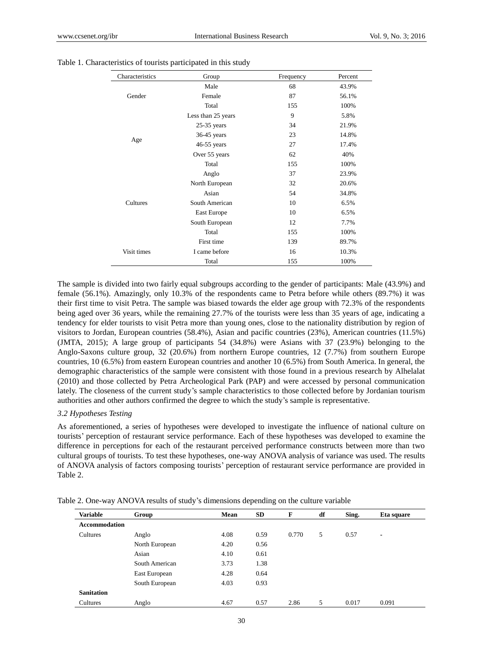| Characteristics | Group              | Frequency | Percent |
|-----------------|--------------------|-----------|---------|
|                 | Male               | 68        | 43.9%   |
| Gender          | Female             | 87        | 56.1%   |
|                 | Total              | 155       | 100%    |
|                 | Less than 25 years | 9         | 5.8%    |
|                 | $25-35$ years      | 34        | 21.9%   |
|                 | $36-45$ years      | 23        | 14.8%   |
| Age             | $46-55$ years      | 27        | 17.4%   |
|                 | Over 55 years      | 62        | 40%     |
|                 | Total              | 155       | 100%    |
|                 | Anglo              | 37        | 23.9%   |
|                 | North European     | 32        | 20.6%   |
|                 | Asian              | 54        | 34.8%   |
| Cultures        | South American     | 10        | 6.5%    |
|                 | East Europe        | 10        | 6.5%    |
|                 | South European     | 12        | 7.7%    |
|                 | Total              | 155       | 100%    |
|                 | First time         | 139       | 89.7%   |
| Visit times     | I came before      | 16        | 10.3%   |
|                 | Total              | 155       | 100%    |

Table 1. Characteristics of tourists participated in this study

The sample is divided into two fairly equal subgroups according to the gender of participants: Male (43.9%) and female (56.1%). Amazingly, only 10.3% of the respondents came to Petra before while others (89.7%) it was their first time to visit Petra. The sample was biased towards the elder age group with 72.3% of the respondents being aged over 36 years, while the remaining 27.7% of the tourists were less than 35 years of age, indicating a tendency for elder tourists to visit Petra more than young ones, close to the nationality distribution by region of visitors to Jordan, European countries (58.4%), Asian and pacific countries (23%), American countries (11.5%) (JMTA, 2015); A large group of participants 54 (34.8%) were Asians with 37 (23.9%) belonging to the Anglo-Saxons culture group, 32 (20.6%) from northern Europe countries, 12 (7.7%) from southern Europe countries, 10 (6.5%) from eastern European countries and another 10 (6.5%) from South America. In general, the demographic characteristics of the sample were consistent with those found in a previous research by Alhelalat (2010) and those collected by Petra Archeological Park (PAP) and were accessed by personal communication lately. The closeness of the current study's sample characteristics to those collected before by Jordanian tourism authorities and other authors confirmed the degree to which the study's sample is representative.

#### *3.2 Hypotheses Testing*

As aforementioned, a series of hypotheses were developed to investigate the influence of national culture on tourists' perception of restaurant service performance. Each of these hypotheses was developed to examine the difference in perceptions for each of the restaurant perceived performance constructs between more than two cultural groups of tourists. To test these hypotheses, one-way ANOVA analysis of variance was used. The results of ANOVA analysis of factors composing tourists' perception of restaurant service performance are provided in Table 2.

| <b>Variable</b>      | Group          | Mean | SD   | F     | df | Sing. | Eta square     |
|----------------------|----------------|------|------|-------|----|-------|----------------|
| <b>Accommodation</b> |                |      |      |       |    |       |                |
| Cultures             | Anglo          | 4.08 | 0.59 | 0.770 | 5  | 0.57  | $\blacksquare$ |
|                      | North European | 4.20 | 0.56 |       |    |       |                |
|                      | Asian          | 4.10 | 0.61 |       |    |       |                |
|                      | South American | 3.73 | 1.38 |       |    |       |                |
|                      | East European  | 4.28 | 0.64 |       |    |       |                |
|                      | South European | 4.03 | 0.93 |       |    |       |                |
| <b>Sanitation</b>    |                |      |      |       |    |       |                |
| Cultures             | Anglo          | 4.67 | 0.57 | 2.86  | 5  | 0.017 | 0.091          |

Table 2. One-way ANOVA results of study's dimensions depending on the culture variable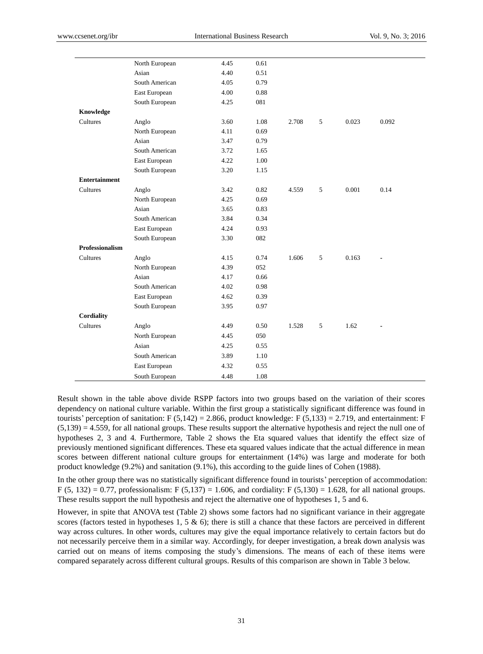|                        | North European | 4.45 | 0.61 |       |   |       |       |
|------------------------|----------------|------|------|-------|---|-------|-------|
|                        | Asian          | 4.40 | 0.51 |       |   |       |       |
|                        | South American | 4.05 | 0.79 |       |   |       |       |
|                        | East European  | 4.00 | 0.88 |       |   |       |       |
|                        | South European | 4.25 | 081  |       |   |       |       |
| Knowledge              |                |      |      |       |   |       |       |
| Cultures               | Anglo          | 3.60 | 1.08 | 2.708 | 5 | 0.023 | 0.092 |
|                        | North European | 4.11 | 0.69 |       |   |       |       |
|                        | Asian          | 3.47 | 0.79 |       |   |       |       |
|                        | South American | 3.72 | 1.65 |       |   |       |       |
|                        | East European  | 4.22 | 1.00 |       |   |       |       |
|                        | South European | 3.20 | 1.15 |       |   |       |       |
| <b>Entertainment</b>   |                |      |      |       |   |       |       |
| <b>Cultures</b>        | Anglo          | 3.42 | 0.82 | 4.559 | 5 | 0.001 | 0.14  |
|                        | North European | 4.25 | 0.69 |       |   |       |       |
|                        | Asian          | 3.65 | 0.83 |       |   |       |       |
|                        | South American | 3.84 | 0.34 |       |   |       |       |
|                        | East European  | 4.24 | 0.93 |       |   |       |       |
|                        | South European | 3.30 | 082  |       |   |       |       |
| <b>Professionalism</b> |                |      |      |       |   |       |       |
| Cultures               | Anglo          | 4.15 | 0.74 | 1.606 | 5 | 0.163 |       |
|                        | North European | 4.39 | 052  |       |   |       |       |
|                        | Asian          | 4.17 | 0.66 |       |   |       |       |
|                        | South American | 4.02 | 0.98 |       |   |       |       |
|                        | East European  | 4.62 | 0.39 |       |   |       |       |
|                        | South European | 3.95 | 0.97 |       |   |       |       |
| <b>Cordiality</b>      |                |      |      |       |   |       |       |
| Cultures               | Anglo          | 4.49 | 0.50 | 1.528 | 5 | 1.62  |       |
|                        | North European | 4.45 | 050  |       |   |       |       |
|                        | Asian          | 4.25 | 0.55 |       |   |       |       |
|                        | South American | 3.89 | 1.10 |       |   |       |       |
|                        | East European  | 4.32 | 0.55 |       |   |       |       |
|                        | South European | 4.48 | 1.08 |       |   |       |       |
|                        |                |      |      |       |   |       |       |

Result shown in the table above divide RSPP factors into two groups based on the variation of their scores dependency on national culture variable. Within the first group a statistically significant difference was found in tourists' perception of sanitation: F  $(5,142) = 2.866$ , product knowledge: F  $(5,133) = 2.719$ , and entertainment: F  $(5,139) = 4.559$ , for all national groups. These results support the alternative hypothesis and reject the null one of hypotheses 2, 3 and 4. Furthermore, Table 2 shows the Eta squared values that identify the effect size of previously mentioned significant differences. These eta squared values indicate that the actual difference in mean scores between different national culture groups for entertainment (14%) was large and moderate for both product knowledge (9.2%) and sanitation (9.1%), this according to the guide lines of Cohen (1988).

In the other group there was no statistically significant difference found in tourists' perception of accommodation: F (5, 132) = 0.77, professionalism: F (5,137) = 1.606, and cordiality: F (5,130) = 1.628, for all national groups. These results support the null hypothesis and reject the alternative one of hypotheses 1, 5 and 6.

However, in spite that ANOVA test (Table 2) shows some factors had no significant variance in their aggregate scores (factors tested in hypotheses 1, 5  $\&$  6); there is still a chance that these factors are perceived in different way across cultures. In other words, cultures may give the equal importance relatively to certain factors but do not necessarily perceive them in a similar way. Accordingly, for deeper investigation, a break down analysis was carried out on means of items composing the study's dimensions. The means of each of these items were compared separately across different cultural groups. Results of this comparison are shown in Table 3 below.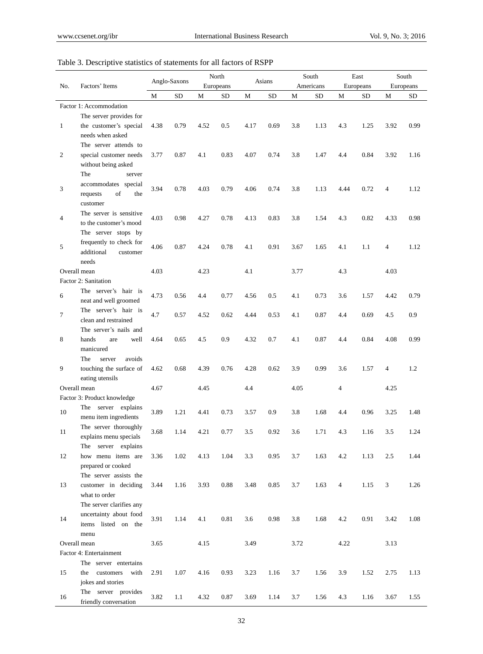# Table 3. Descriptive statistics of statements for all factors of RSPP

|                       |                                                | Anglo-Saxons |           |      | North     |      | Asians    |      | South     |                | East |           | South |  |
|-----------------------|------------------------------------------------|--------------|-----------|------|-----------|------|-----------|------|-----------|----------------|------|-----------|-------|--|
| Factors' Items<br>No. |                                                |              |           |      | Europeans |      |           |      | Americans | Europeans      |      | Europeans |       |  |
|                       |                                                | М            | <b>SD</b> | М    | <b>SD</b> | М    | <b>SD</b> | М    | <b>SD</b> | М              | SD   | M         | SD    |  |
|                       | Factor 1: Accommodation                        |              |           |      |           |      |           |      |           |                |      |           |       |  |
|                       | The server provides for                        |              |           |      |           |      |           |      |           |                |      |           |       |  |
| $\mathbf{1}$          | the customer's special                         | 4.38         | 0.79      | 4.52 | 0.5       | 4.17 | 0.69      | 3.8  | 1.13      | 4.3            | 1.25 | 3.92      | 0.99  |  |
|                       | needs when asked                               |              |           |      |           |      |           |      |           |                |      |           |       |  |
| 2                     | The server attends to                          |              |           |      |           | 4.07 | 0.74      | 3.8  | 1.47      | 4.4            | 0.84 | 3.92      | 1.16  |  |
|                       | special customer needs<br>without being asked  | 3.77         | 0.87      | 4.1  | 0.83      |      |           |      |           |                |      |           |       |  |
|                       | The<br>server                                  |              |           |      |           |      |           |      |           |                |      |           |       |  |
|                       | accommodates special                           |              |           |      |           |      |           |      |           |                |      |           |       |  |
| 3                     | of<br>requests<br>the                          | 3.94         | 0.78      | 4.03 | 0.79      | 4.06 | 0.74      | 3.8  | 1.13      | 4.44           | 0.72 | 4         | 1.12  |  |
|                       | customer                                       |              |           |      |           |      |           |      |           |                |      |           |       |  |
|                       | The server is sensitive                        |              |           |      |           |      |           |      |           |                |      |           |       |  |
| 4                     | to the customer's mood                         | 4.03         | 0.98      | 4.27 | 0.78      | 4.13 | 0.83      | 3.8  | 1.54      | 4.3            | 0.82 | 4.33      | 0.98  |  |
|                       | The server stops by                            |              |           |      |           |      |           |      |           |                |      |           |       |  |
| 5                     | frequently to check for                        | 4.06         | 0.87      | 4.24 | 0.78      | 4.1  | 0.91      | 3.67 | 1.65      | 4.1            | 1.1  | 4         | 1.12  |  |
|                       | additional<br>customer                         |              |           |      |           |      |           |      |           |                |      |           |       |  |
|                       | needs                                          |              |           |      |           |      |           |      |           |                |      |           |       |  |
|                       | Overall mean                                   | 4.03         |           | 4.23 |           | 4.1  |           | 3.77 |           | 4.3            |      | 4.03      |       |  |
|                       | Factor 2: Sanitation                           |              |           |      |           |      |           |      |           |                |      |           |       |  |
| 6                     | The server's hair is                           | 4.73         | 0.56      | 4.4  | 0.77      | 4.56 | 0.5       | 4.1  | 0.73      | 3.6            | 1.57 | 4.42      | 0.79  |  |
|                       | neat and well groomed                          |              |           |      |           |      |           |      |           |                |      |           |       |  |
| $\tau$                | The server's hair is                           | 4.7          | 0.57      | 4.52 | 0.62      | 4.44 | 0.53      | 4.1  | 0.87      | 4.4            | 0.69 | 4.5       | 0.9   |  |
|                       | clean and restrained<br>The server's nails and |              |           |      |           |      |           |      |           |                |      |           |       |  |
| 8                     | hands<br>well<br>are                           | 4.64         | 0.65      | 4.5  | 0.9       | 4.32 | 0.7       | 4.1  | 0.87      | 4.4            | 0.84 | 4.08      | 0.99  |  |
|                       | manicured                                      |              |           |      |           |      |           |      |           |                |      |           |       |  |
|                       | server<br>avoids<br>The                        |              |           |      |           |      |           |      |           |                |      |           |       |  |
| 9                     | touching the surface of                        | 4.62         | 0.68      | 4.39 | 0.76      | 4.28 | 0.62      | 3.9  | 0.99      | 3.6            | 1.57 | 4         | 1.2   |  |
|                       | eating utensils                                |              |           |      |           |      |           |      |           |                |      |           |       |  |
|                       | Overall mean                                   | 4.67         |           | 4.45 |           | 4.4  |           | 4.05 |           | $\overline{4}$ |      | 4.25      |       |  |
|                       | Factor 3: Product knowledge                    |              |           |      |           |      |           |      |           |                |      |           |       |  |
| 10                    | The server explains                            | 3.89         | 1.21      | 4.41 | 0.73      | 3.57 | 0.9       | 3.8  | 1.68      | 4.4            | 0.96 | 3.25      | 1.48  |  |
|                       | menu item ingredients                          |              |           |      |           |      |           |      |           |                |      |           |       |  |
| 11                    | The server thoroughly                          | 3.68         | 1.14      | 4.21 | 0.77      | 3.5  | 0.92      | 3.6  | 1.71      | 4.3            | 1.16 | 3.5       | 1.24  |  |
|                       | explains menu specials                         |              |           |      |           |      |           |      |           |                |      |           |       |  |
|                       | The server explains                            |              |           |      |           |      |           |      |           |                |      |           |       |  |
| 12                    | how menu items are                             | 3.36         | 1.02      | 4.13 | 1.04      | 3.3  | 0.95      | 3.7  | 1.63      | 4.2            | 1.13 | 2.5       | 1.44  |  |
|                       | prepared or cooked                             |              |           |      |           |      |           |      |           |                |      |           |       |  |
| 13                    | The server assists the<br>customer in deciding |              |           | 3.93 |           |      | 0.85      |      |           | $\overline{4}$ |      |           |       |  |
|                       | what to order                                  | 3.44         | 1.16      |      | 0.88      | 3.48 |           | 3.7  | 1.63      |                | 1.15 | 3         | 1.26  |  |
|                       | The server clarifies any                       |              |           |      |           |      |           |      |           |                |      |           |       |  |
|                       | uncertainty about food                         |              |           |      |           |      |           |      |           |                |      |           |       |  |
| 14                    | items listed on the                            | 3.91         | 1.14      | 4.1  | 0.81      | 3.6  | 0.98      | 3.8  | 1.68      | 4.2            | 0.91 | 3.42      | 1.08  |  |
|                       | menu                                           |              |           |      |           |      |           |      |           |                |      |           |       |  |
|                       | Overall mean                                   | 3.65         |           | 4.15 |           | 3.49 |           | 3.72 |           | 4.22           |      | 3.13      |       |  |
|                       | Factor 4: Entertainment                        |              |           |      |           |      |           |      |           |                |      |           |       |  |
|                       | The server entertains                          |              |           |      |           |      |           |      |           |                |      |           |       |  |
| 15                    | the<br>customers<br>with                       | 2.91         | 1.07      | 4.16 | 0.93      | 3.23 | 1.16      | 3.7  | 1.56      | 3.9            | 1.52 | 2.75      | 1.13  |  |
|                       | jokes and stories                              |              |           |      |           |      |           |      |           |                |      |           |       |  |
| 16                    | The server provides                            | 3.82         | 1.1       | 4.32 | 0.87      | 3.69 | 1.14      | 3.7  | 1.56      | 4.3            | 1.16 | 3.67      | 1.55  |  |
|                       | friendly conversation                          |              |           |      |           |      |           |      |           |                |      |           |       |  |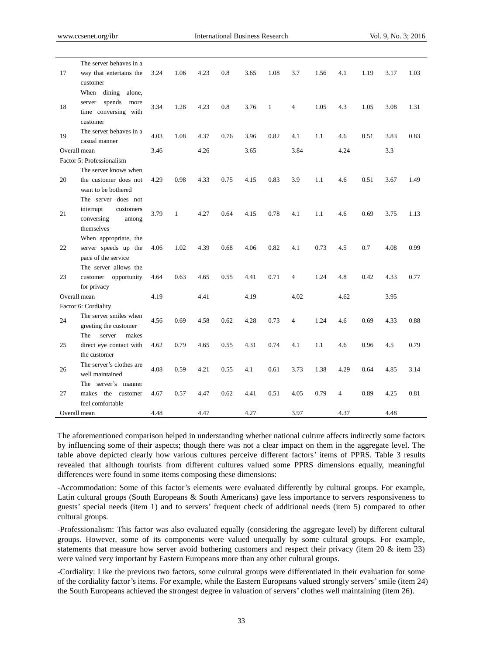|              | The server behaves in a                                                            |      |              |      |      |      |              |                |      |      |      |      |      |
|--------------|------------------------------------------------------------------------------------|------|--------------|------|------|------|--------------|----------------|------|------|------|------|------|
| 17           | way that entertains the<br>customer                                                | 3.24 | 1.06         | 4.23 | 0.8  | 3.65 | 1.08         | 3.7            | 1.56 | 4.1  | 1.19 | 3.17 | 1.03 |
| 18           | When dining<br>alone,<br>server spends<br>more<br>time conversing with<br>customer | 3.34 | 1.28         | 4.23 | 0.8  | 3.76 | $\mathbf{1}$ | $\overline{4}$ | 1.05 | 4.3  | 1.05 | 3.08 | 1.31 |
| 19           | The server behaves in a<br>casual manner                                           | 4.03 | 1.08         | 4.37 | 0.76 | 3.96 | 0.82         | 4.1            | 1.1  | 4.6  | 0.51 | 3.83 | 0.83 |
|              | Overall mean                                                                       | 3.46 |              | 4.26 |      | 3.65 |              | 3.84           |      | 4.24 |      | 3.3  |      |
|              | Factor 5: Professionalism                                                          |      |              |      |      |      |              |                |      |      |      |      |      |
| 20           | The server knows when<br>the customer does not<br>want to be bothered              | 4.29 | 0.98         | 4.33 | 0.75 | 4.15 | 0.83         | 3.9            | 1.1  | 4.6  | 0.51 | 3.67 | 1.49 |
| 21           | The server does not<br>interrupt<br>customers<br>conversing<br>among<br>themselves | 3.79 | $\mathbf{1}$ | 4.27 | 0.64 | 4.15 | 0.78         | 4.1            | 1.1  | 4.6  | 0.69 | 3.75 | 1.13 |
| 22           | When appropriate, the<br>server speeds up the<br>pace of the service               | 4.06 | 1.02         | 4.39 | 0.68 | 4.06 | 0.82         | 4.1            | 0.73 | 4.5  | 0.7  | 4.08 | 0.99 |
| 23           | The server allows the<br>customer opportunity<br>for privacy                       | 4.64 | 0.63         | 4.65 | 0.55 | 4.41 | 0.71         | 4              | 1.24 | 4.8  | 0.42 | 4.33 | 0.77 |
|              | Overall mean                                                                       | 4.19 |              | 4.41 |      | 4.19 |              | 4.02           |      | 4.62 |      | 3.95 |      |
|              | Factor 6: Cordiality                                                               |      |              |      |      |      |              |                |      |      |      |      |      |
| 24           | The server smiles when<br>greeting the customer                                    | 4.56 | 0.69         | 4.58 | 0.62 | 4.28 | 0.73         | $\overline{4}$ | 1.24 | 4.6  | 0.69 | 4.33 | 0.88 |
| 25           | The<br>server<br>makes<br>direct eye contact with<br>the customer                  | 4.62 | 0.79         | 4.65 | 0.55 | 4.31 | 0.74         | 4.1            | 1.1  | 4.6  | 0.96 | 4.5  | 0.79 |
| 26           | The server's clothes are<br>well maintained                                        | 4.08 | 0.59         | 4.21 | 0.55 | 4.1  | 0.61         | 3.73           | 1.38 | 4.29 | 0.64 | 4.85 | 3.14 |
|              | The server's manner                                                                |      |              |      |      |      |              |                |      |      |      |      |      |
| 27           | makes<br>the customer<br>feel comfortable                                          | 4.67 | 0.57         | 4.47 | 0.62 | 4.41 | 0.51         | 4.05           | 0.79 | 4    | 0.89 | 4.25 | 0.81 |
| Overall mean |                                                                                    | 4.48 |              | 4.47 |      | 4.27 |              | 3.97           |      | 4.37 |      | 4.48 |      |

The aforementioned comparison helped in understanding whether national culture affects indirectly some factors by influencing some of their aspects; though there was not a clear impact on them in the aggregate level. The table above depicted clearly how various cultures perceive different factors' items of PPRS. Table 3 results revealed that although tourists from different cultures valued some PPRS dimensions equally, meaningful differences were found in some items composing these dimensions:

-Accommodation: Some of this factor's elements were evaluated differently by cultural groups. For example, Latin cultural groups (South Europeans & South Americans) gave less importance to servers responsiveness to guests' special needs (item 1) and to servers' frequent check of additional needs (item 5) compared to other cultural groups.

-Professionalism: This factor was also evaluated equally (considering the aggregate level) by different cultural groups. However, some of its components were valued unequally by some cultural groups. For example, statements that measure how server avoid bothering customers and respect their privacy (item 20 & item 23) were valued very important by Eastern Europeans more than any other cultural groups.

-Cordiality: Like the previous two factors, some cultural groups were differentiated in their evaluation for some of the cordiality factor's items. For example, while the Eastern Europeans valued strongly servers'smile (item 24) the South Europeans achieved the strongest degree in valuation of servers' clothes well maintaining (item 26).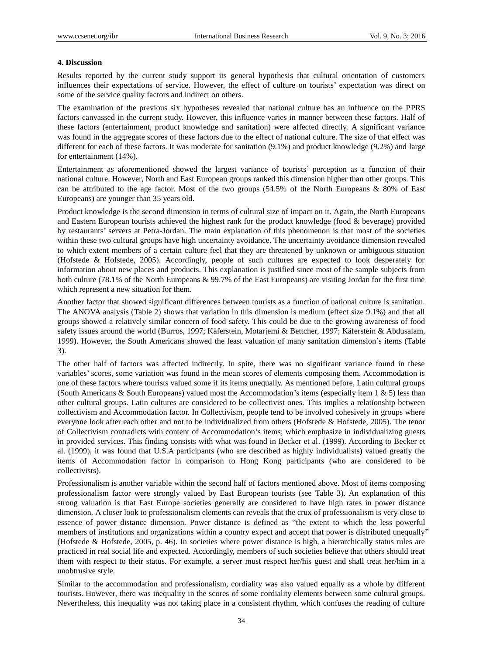#### **4. Discussion**

Results reported by the current study support its general hypothesis that cultural orientation of customers influences their expectations of service. However, the effect of culture on tourists' expectation was direct on some of the service quality factors and indirect on others.

The examination of the previous six hypotheses revealed that national culture has an influence on the PPRS factors canvassed in the current study. However, this influence varies in manner between these factors. Half of these factors (entertainment, product knowledge and sanitation) were affected directly. A significant variance was found in the aggregate scores of these factors due to the effect of national culture. The size of that effect was different for each of these factors. It was moderate for sanitation (9.1%) and product knowledge (9.2%) and large for entertainment (14%).

Entertainment as aforementioned showed the largest variance of tourists' perception as a function of their national culture. However, North and East European groups ranked this dimension higher than other groups. This can be attributed to the age factor. Most of the two groups (54.5% of the North Europeans & 80% of East Europeans) are younger than 35 years old.

Product knowledge is the second dimension in terms of cultural size of impact on it. Again, the North Europeans and Eastern European tourists achieved the highest rank for the product knowledge (food & beverage) provided by restaurants' servers at Petra-Jordan. The main explanation of this phenomenon is that most of the societies within these two cultural groups have high uncertainty avoidance. The uncertainty avoidance dimension revealed to which extent members of a certain culture feel that they are threatened by unknown or ambiguous situation (Hofstede & Hofstede, 2005). Accordingly, people of such cultures are expected to look desperately for information about new places and products. This explanation is justified since most of the sample subjects from both culture (78.1% of the North Europeans & 99.7% of the East Europeans) are visiting Jordan for the first time which represent a new situation for them.

Another factor that showed significant differences between tourists as a function of national culture is sanitation. The ANOVA analysis (Table 2) shows that variation in this dimension is medium (effect size 9.1%) and that all groups showed a relatively similar concern of food safety. This could be due to the growing awareness of food safety issues around the world (Burros, 1997; Käferstein, Motarjemi & Bettcher, 1997; Käferstein & Abdusalam, 1999). However, the South Americans showed the least valuation of many sanitation dimension's items (Table 3).

The other half of factors was affected indirectly. In spite, there was no significant variance found in these variables' scores, some variation was found in the mean scores of elements composing them. Accommodation is one of these factors where tourists valued some if its items unequally. As mentioned before, Latin cultural groups (South Americans & South Europeans) valued most the Accommodation's items (especially item 1  $\&$  5) less than other cultural groups. Latin cultures are considered to be collectivist ones. This implies a relationship between collectivism and Accommodation factor. In Collectivism, people tend to be involved cohesively in groups where everyone look after each other and not to be individualized from others (Hofstede & Hofstede, 2005). The tenor of Collectivism contradicts with content of Accommodation's items; which emphasize in individualizing guests in provided services. This finding consists with what was found in Becker et al. (1999). According to Becker et al. (1999), it was found that U.S.A participants (who are described as highly individualists) valued greatly the items of Accommodation factor in comparison to Hong Kong participants (who are considered to be collectivists).

Professionalism is another variable within the second half of factors mentioned above. Most of items composing professionalism factor were strongly valued by East European tourists (see Table 3). An explanation of this strong valuation is that East Europe societies generally are considered to have high rates in power distance dimension. A closer look to professionalism elements can reveals that the crux of professionalism is very close to essence of power distance dimension. Power distance is defined as "the extent to which the less powerful members of institutions and organizations within a country expect and accept that power is distributed unequally" (Hofstede & Hofstede, 2005, p. 46). In societies where power distance is high, a hierarchically status rules are practiced in real social life and expected. Accordingly, members of such societies believe that others should treat them with respect to their status. For example, a server must respect her/his guest and shall treat her/him in a unobtrusive style.

Similar to the accommodation and professionalism, cordiality was also valued equally as a whole by different tourists. However, there was inequality in the scores of some cordiality elements between some cultural groups. Nevertheless, this inequality was not taking place in a consistent rhythm, which confuses the reading of culture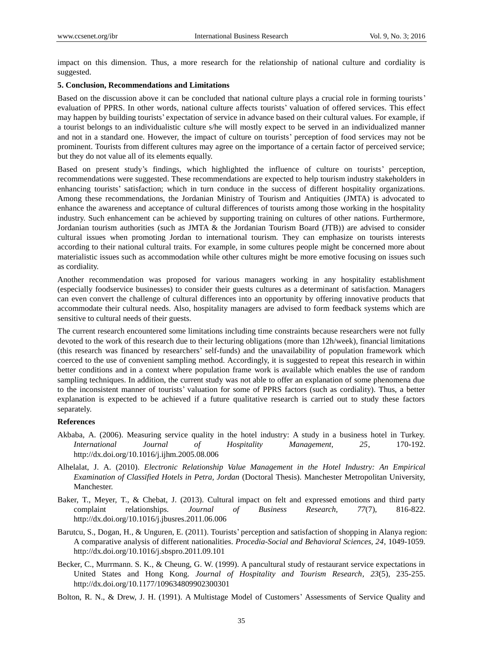impact on this dimension. Thus, a more research for the relationship of national culture and cordiality is suggested.

#### **5. Conclusion, Recommendations and Limitations**

Based on the discussion above it can be concluded that national culture plays a crucial role in forming tourists' evaluation of PPRS. In other words, national culture affects tourists' valuation of offered services. This effect may happen by building tourists' expectation of service in advance based on their cultural values. For example, if a tourist belongs to an individualistic culture s/he will mostly expect to be served in an individualized manner and not in a standard one. However, the impact of culture on tourists' perception of food services may not be prominent. Tourists from different cultures may agree on the importance of a certain factor of perceived service; but they do not value all of its elements equally.

Based on present study's findings, which highlighted the influence of culture on tourists' perception, recommendations were suggested. These recommendations are expected to help tourism industry stakeholders in enhancing tourists' satisfaction; which in turn conduce in the success of different hospitality organizations. Among these recommendations, the Jordanian Ministry of Tourism and Antiquities (JMTA) is advocated to enhance the awareness and acceptance of cultural differences of tourists among those working in the hospitality industry. Such enhancement can be achieved by supporting training on cultures of other nations. Furthermore, Jordanian tourism authorities (such as JMTA & the Jordanian Tourism Board (JTB)) are advised to consider cultural issues when promoting Jordan to international tourism. They can emphasize on tourists interests according to their national cultural traits. For example, in some cultures people might be concerned more about materialistic issues such as accommodation while other cultures might be more emotive focusing on issues such as cordiality.

Another recommendation was proposed for various managers working in any hospitality establishment (especially foodservice businesses) to consider their guests cultures as a determinant of satisfaction. Managers can even convert the challenge of cultural differences into an opportunity by offering innovative products that accommodate their cultural needs. Also, hospitality managers are advised to form feedback systems which are sensitive to cultural needs of their guests.

The current research encountered some limitations including time constraints because researchers were not fully devoted to the work of this research due to their lecturing obligations (more than 12h/week), financial limitations (this research was financed by researchers' self-funds) and the unavailability of population framework which coerced to the use of convenient sampling method. Accordingly, it is suggested to repeat this research in within better conditions and in a context where population frame work is available which enables the use of random sampling techniques. In addition, the current study was not able to offer an explanation of some phenomena due to the inconsistent manner of tourists' valuation for some of PPRS factors (such as cordiality). Thus, a better explanation is expected to be achieved if a future qualitative research is carried out to study these factors separately.

### **References**

- Akbaba, A. (2006). Measuring service quality in the hotel industry: A study in a business hotel in Turkey. *International Journal of Hospitality Management, 25*, 170-192. http://dx.doi.org/10.1016/j.ijhm.2005.08.006
- Alhelalat, J. A. (2010). *Electronic Relationship Value Management in the Hotel Industry: An Empirical Examination of Classified Hotels in Petra, Jordan* (Doctoral Thesis). Manchester Metropolitan University, Manchester.
- Baker, T., Meyer, T., & Chebat, J. (2013). Cultural impact on felt and expressed emotions and third party complaint relationships. *Journal of Business Research, 77*(7), 816-822. http://dx.doi.org/10.1016/j.jbusres.2011.06.006
- Barutcu, S., Dogan, H., & Unguren, E. (2011). Tourists' perception and satisfaction of shopping in Alanya region: A comparative analysis of different nationalities. *Procedia-Social and Behavioral Sciences, 24*, 1049-1059. <http://dx.doi.org/10.1016/j.sbspro.2011.09.101>
- Becker, C., Murrmann. S. K., & Cheung, G. W. (1999). A pancultural study of restaurant service expectations in United States and Hong Kong. *Journal of Hospitality and Tourism Research*, *23*(5), 235-255. http://dx.doi.org/10.1177/109634809902300301
- Bolton, R. N., & Drew, J. H. (1991). A Multistage Model of Customers' Assessments of Service Quality and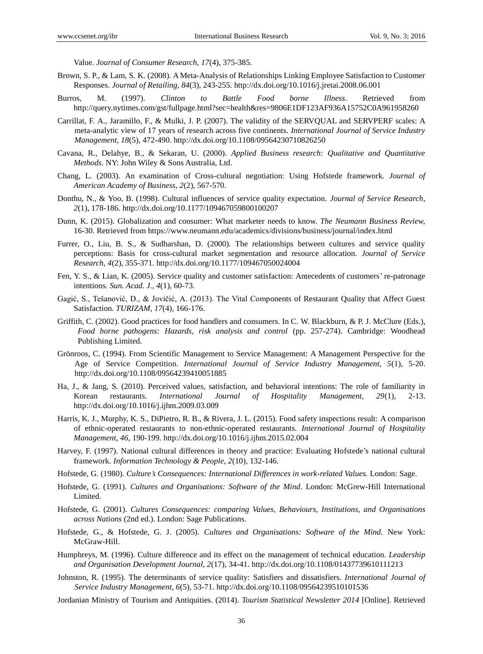Value. *Journal of Consumer Research, 17*(4), 375-385.

- Brown, S. P., & Lam, S. K. (2008)[. A Meta-Analysis of Relationships Linking Employee Satisfaction to Customer](http://bit.ly/q7bp8a)  [Responses.](http://bit.ly/q7bp8a) *Journal of Retailing, 84*(3), 243-255. http://dx.doi.org/10.1016/j.jretai.2008.06.001
- Burros, M. (1997). *Clinton to Battle Food borne Illness*. Retrieved from http://query.nytimes.com/gst/fullpage.html?sec=health&res=9806E1DF123AF936A15752C0A961958260
- [Carrillat,](http://www.emeraldinsight.com/action/doSearch?ContribStored=Carrillat%2C+F+A) F. A., [Jaramillo,](http://www.emeraldinsight.com/action/doSearch?ContribStored=Jaramillo%2C+F) F., & [Mulki,](http://www.emeraldinsight.com/action/doSearch?ContribStored=Mulki%2C+J+P) J. P. (2007). The validity of the SERVQUAL and SERVPERF scales: A meta-analytic view of 17 years of research across five continents. *International Journal of Service Industry Management, 18*(5), 472-490.<http://dx.doi.org/10.1108/09564230710826250>
- Cavana, R., Delahye, B., & Sekaran, U. (2000). *Applied Business research: Qualitative and Quantitative Methods*. NY: John Wiley & Sons Australia, Ltd.
- Chang, L. (2003). An examination of Cross-cultural negotiation: Using Hofstede framework. *Journal of American Academy of Business, 2*(2), 567-570.
- Donthu, N., & Yoo, B. (1998). Cultural influences of service quality expectation. *Journal of Service Research, 2*(1), 178-186. http://dx.doi.org/10.1177/109467059800100207
- Dunn, K. (2015). Globalization and consumer: What marketer needs to know. *The Neumann Business Review,* 16-30. Retrieved from https://www.neumann.edu/academics/divisions/business/journal/index.html
- Furrer, O., Liu, B. S., & Sudharshan, D. (2000). The relationships between cultures and service quality perceptions: Basis for cross-cultural market segmentation and resource allocation. *Journal of Service Research, 4*(2), 355-371. http://dx.doi.org/10.1177/109467050024004
- Fen, Y. S., & Lian, K. (2005). Service quality and customer satisfaction: Antecedents of customers' re-patronage intentions. *Sun. Acad. J., 4*(1), 60-73.
- Gagić, S., Tešanović, D., & Jovičić, A. (2013). The Vital Components of Restaurant Quality that Affect Guest Satisfaction. *TURIZAM, 17*(4), 166-176.
- Griffith, C. (2002). Good practices for food handlers and consumers. In C. W. Blackburn, & P. J. McClure (Eds.), *Food borne pathogens: Hazards, risk analysis and control* (pp. 257-274). Cambridge: Woodhead Publishing Limited.
- [Grönroos,](http://www.emeraldinsight.com/action/doSearch?ContribStored=Gr%C3%B6nroos%2C+C) C. (1994). From Scientific Management to Service Management: A Management Perspective for the Age of Service Competition. *International Journal of Service Industry Management, 5*(1), 5-20. <http://dx.doi.org/10.1108/09564239410051885>
- Ha, J., & Jang, S. (2010). Perceived values, satisfaction, and behavioral intentions: The role of familiarity in Korean restaurants. *International Journal of Hospitality Management, 29*(1), 2-1[3.](http://dx.doi.org/10.1016/j.ijhm.2009.03.009) <http://dx.doi.org/10.1016/j.ijhm.2009.03.009>
- Harris, K. J., Murphy, K. S., DiPietro, R. B., & Rivera, J. L. (2015). Food safety inspections result: A comparison of ethnic-operated restaurants to non-ethnic-operated restaurants. *International Journal of Hospitality Management, 46*, 190-199. http://dx.doi.org/10.1016/j.ijhm.2015.02.004
- Harvey, F. (1997). National cultural differences in theory and practice: Evaluating Hofstede's national cultural framework. *Information Technology & People, 2*(10), 132-146.
- Hofstede, G. (1980). *Culture's Consequences: International Differences in work-related Values.* London: Sage.
- Hofstede, G. (1991). *Cultures and Organisations: Software of the Mind*. London: McGrew-Hill International Limited.
- Hofstede, G. (2001). *Cultures Consequences: comparing Values, Behaviours, Institutions, and Organisations across Nations* (2nd ed.). London: Sage Publications.
- Hofstede, G., & Hofstede, G. J. (2005). *Cultures and Organisations: Software of the Mind.* New York: McGraw-Hill.
- Humphreys, M. (1996). Culture difference and its effect on the management of technical education. *Leadership and Organisation Development Journal, 2*(17), 34-41. <http://dx.doi.org/10.1108/01437739610111213>
- [Johnston,](http://www.emeraldinsight.com/action/doSearch?ContribStored=Johnston%2C+R) R. (1995). The determinants of service quality: Satisfiers and dissatisfiers. *International Journal of Service Industry Management, 6*(5), 53-71.<http://dx.doi.org/10.1108/09564239510101536>
- Jordanian Ministry of Tourism and Antiquities. (2014). *Tourism Statistical Newsletter 2014* [Online]. Retrieved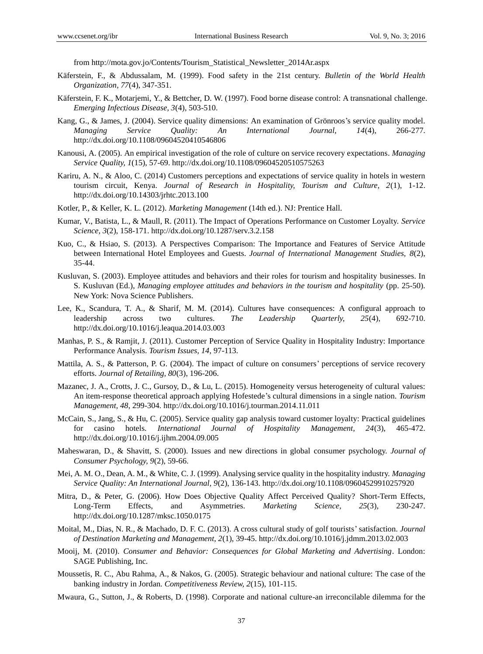from http://mota.gov.jo/Contents/Tourism\_Statistical\_Newsletter\_2014Ar.aspx

- Käferstein, F., & Abdussalam, M. (1999). Food safety in the 21st century. *Bulletin of the World Health Organization, 77*(4), 347-351.
- Käferstein, F. K., Motarjemi, Y., & Bettcher, D. W. (1997). Food borne disease control: A transnational challenge. *Emerging Infectious Disease, 3*(4), 503-510.
- Kang, G., & James, J. (2004). Service quality dimensions: An examination of Grönroos's service quality model. *Managing Service Quality: An International Journal, 14*(4), 266-277. http://dx.doi.org/10.1108/09604520410546806
- Kanousi, A. (2005). An empirical investigation of the role of culture on service recovery expectations. *Managing Service Quality, 1*(15), 57-69. http://dx.doi.org/10.1108/09604520510575263
- Kariru, A. N., & Aloo, C. (2014) Customers perceptions and expectations of service quality in hotels in western tourism circuit, Kenya. *Journal of Research in Hospitality, Tourism and Culture, 2*(1), 1-12. http://dx.doi.org/10.14303/jrhtc.2013.100
- Kotler, P., & Keller, K. L. (2012). *Marketing Management* (14th ed.). NJ: Prentice Hall.
- Kumar, V., Batista, L., & Maull, R. (2011). The Impact of Operations Performance on Customer Loyalty. *Service Science, 3*(2), 158-171. http://dx.doi.org/10.1287/serv.3.2.158
- Kuo, C., & Hsiao, S. (2013). A Perspectives Comparison: The Importance and Features of Service Attitude between International Hotel Employees and Guests. *Journal of International Management Studies, 8*(2), 35-44.
- Kusluvan, S. (2003). Employee attitudes and behaviors and their roles for tourism and hospitality businesses. In S. Kusluvan (Ed.), *Managing employee attitudes and behaviors in the tourism and hospitality* (pp. 25-50). New York: Nova Science Publishers.
- Lee, K., Scandura, T. A., & Sharif, M. M. (2014). Cultures have consequences: A configural approach to leadership across two cultures. *The Leadership Quarterly, 25*(4), 692-710. http://dx.doi.org/10.1016/j.leaqua.2014.03.003
- Manhas, P. S., & Ramjit, J. (2011). Customer Perception of Service Quality in Hospitality Industry: Importance Performance Analysis. *Tourism Issues, 14*, 97-113.
- Mattila, A. S., & Patterson, P. G. (2004). The impact of culture on consumers' perceptions of service recovery efforts. *Journal of Retailing, 80*(3), 196-206.
- Mazanec, J. A., Crotts, J. C., Gursoy, D., & Lu, L. (2015). Homogeneity versus heterogeneity of cultural values: An item-response theoretical approach applying Hofestede's cultural dimensions in a single nation. *Tourism Management, 48*, 299-304. http://dx.doi.org/10.1016/j.tourman.2014.11.011
- McCain, S., Jang, S., & Hu, C. (2005). Service quality gap analysis toward customer loyalty: Practical guidelines for casino hotels. *International Journal of Hospitality Management, 24*(3), 465-472. http://dx.doi.org/10.1016/j.ijhm.2004.09.005
- Maheswaran, D., & Shavitt, S. (2000). Issues and new directions in global consumer psychology. *Journal of Consumer Psychology, 9*(2), 59-66.
- Mei, A. M. O., Dean, A. M., & White, C. J. (1999). Analysing service quality in the hospitality industry. *Managing Service Quality: An International Journal, 9*(2), 136-143[. http://dx.doi.org/10.1108/09604529910257920](http://dx.doi.org/10.1108/09604529910257920)
- Mitra, D., & Peter, G. (2006). How Does Objective Quality Affect Perceived Quality? Short-Term Effects, Long-Term Effects, and Asymmetries. *Marketing Science, 25*(3), 230-247. http://dx.doi.org/10.1287/mksc.1050.0175
- Moital, M., Dias, N. R., & Machado, D. F. C. (2013). A cross cultural study of golf tourists' satisfaction. *Journal of Destination Marketing and Management, 2*(1), 39-45. http://dx.doi.org/10.1016/j.jdmm.2013.02.003
- Mooij, M. (2010). *Consumer and Behavior: Consequences for Global Marketing and Advertising*. London: SAGE Publishing, Inc.
- Moussetis, R. C., Abu Rahma, A., & Nakos, G. (2005). Strategic behaviour and national culture: The case of the banking industry in Jordan. *Competitiveness Review, 2*(15), 101-115.
- Mwaura, G., Sutton, J., & Roberts, D. (1998). Corporate and national culture-an irreconcilable dilemma for the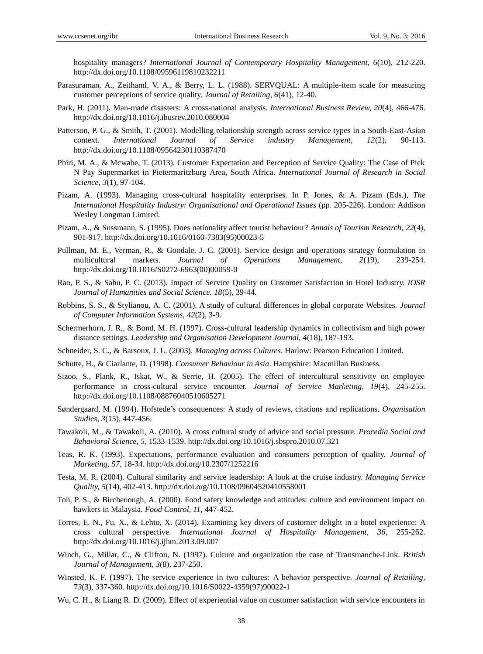hospitality managers? *International Journal of Contemporary Hospitality Management, 6*(10), 212-220. <http://dx.doi.org/10.1108/09596119810232211>

- Parasuraman, A., Zeithaml, V. A., & Berry, L. L. (1988). SERVQUAL: A multiple-item scale for measuring customer perceptions of service quality. *Journal of Retailing*, *6*(41), 12-40.
- Park, H. (2011). Man-made disasters: A cross-national analysis. *International Business Review, 20*(4), 466-476. http://dx.doi.org/10.1016/j.ibusrev.2010.080004
- Patterson, P. G., & Smith, T. (2001). Modelling relationship strength across service types in a South-East-Asian context. *International Journal of Service industry Management, 12*(2), 90-113. <http://dx.doi.org/10.1108/09564230110387470>
- Phiri, M. A., & Mcwabe, T. (2013). Customer Expectation and Perception of Service Quality: The Case of Pick N Pay Supermarket in Pietermaritzburg Area, South Africa. *International Journal of Research in Social Science, 3*(1), 97-104.
- Pizam, A. (1993). Managing cross-cultural hospitality enterprises. In P. Jones, & A. Pizam (Eds.), *The International Hospitality Industry: Organisational and Operational Issues* (pp. 205-226). London: Addison Wesley Longman Limited.
- Pizam, A., & Sussmann, S. (1995). Does nationality affect tourist behaviour? *Annals of Tourism Research*, *22*(4), 901-917. [http://dx.doi.org/10.1016/0160-7383\(95\)00023-5](http://dx.doi.org/10.1016/0160-7383(95)00023-5)
- Pullman, M. E., Verman, R., & Goodale, J. C. (2001). Service design and operations strategy formulation in multicultural markets. *Journal of Operations Management, 2*(19), 239-254. http://dx.doi.org/10.1016/S0272-6963(00)00059-0
- Rao, P. S., & Sahu, P. C. (2013). Impact of Service Quality on Customer Satisfaction in Hotel Industry. *IOSR Journal of Humanities and Social Science. 18*(5), 39-44.
- Robbins, S. S., & Stylianou, A. C. (2001). A study of cultural differences in global corporate Websites. *Journal of Computer Information Systems, 42*(2), 3-9.
- Schermerhorn, J. R., & Bond, M. H. (1997). Cross-cultural leadership dynamics in collectivism and high power distance settings. *Leadership and Organisation Development Journal, 4*(18), 187-193.
- Schneider, S. C., & Barsoux, J. L. (2003). *Managing across Cultures*. Harlow: Pearson Education Limited.
- Schutte, H., & Ciarlante, D. (1998). *Consumer Behaviour in Asia*. Hampshire: Macmillan Business.
- Sizoo, S., Plank, R., Iskat, W., & Serrie, H. (2005). The effect of intercultural sensitivity on employee performance in cross-cultural service encounter. *Journal of Service Marketing, 19*(4), 245-255. http://dx.doi.org/10.1108/08876040510605271
- Søndergaard, M. (1994). Hofstede's consequences: A study of reviews, citations and replications. *Organisation Studies, 3*(15), 447-456.
- Tawakoli, M., & Tawakoli, A. (2010). A cross cultural study of advice and social pressure. *Procedia Social and Behavioral Science, 5*, 1533-1539. http://dx.doi.org/10.1016/j.sbspro.2010.07.321
- Teas, R. K. (1993). Expectations, performance evaluation and consumers perception of quality. *Journal of Marketing, 57*, 18-34. http://dx.doi.org/10.2307/1252216
- Testa, M. R. (2004). Cultural similarity and service leadership: A look at the cruise industry. *Managing Service Quality, 5*(14), 402-413. http://dx.doi.org/10.1108/09604520410558001
- Toh, P. S., & Birchenough, A. (2000). Food safety knowledge and attitudes: culture and environment impact on hawkers in Malaysia. *Food Control, 11,* 447-452.
- Torres, E. N., Fu, X., & Lehto, X. (2014). Examining key divers of customer delight in a hotel experience: A cross cultural perspective. *International Journal of Hospitality Management, 36*, 255-262. http://dx.doi.org/10.1016/j.ijhm.2013.09.007
- Winch, G., Millar, C., & Clifton, N. (1997). Culture and organization the case of Transmanche-Link. *British Journal of Management*, *3*(8), 237-250.
- Winsted, K. F. (1997). The service experience in two cultures: A behavior perspective. *Journal of Retailing,* 7*3*(3), 337-360. http://dx.doi.org/10.1016/S0022-4359(97)90022-1
- Wu, C. H., & Liang R. D. (2009). Effect of experiential value on customer satisfaction with service encounters in